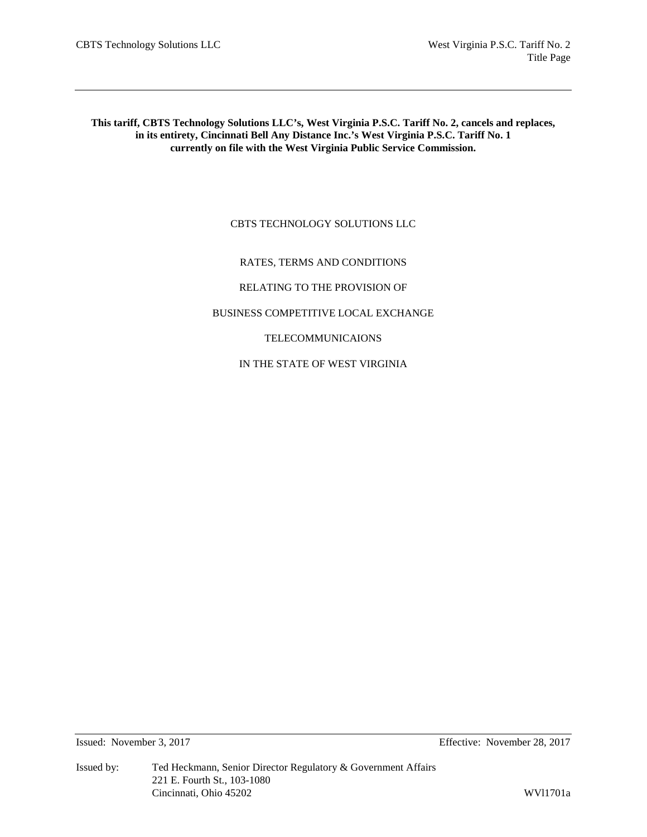**This tariff, CBTS Technology Solutions LLC's, West Virginia P.S.C. Tariff No. 2, cancels and replaces, in its entirety, Cincinnati Bell Any Distance Inc.'s West Virginia P.S.C. Tariff No. 1 currently on file with the West Virginia Public Service Commission.**

# CBTS TECHNOLOGY SOLUTIONS LLC

# RATES, TERMS AND CONDITIONS

RELATING TO THE PROVISION OF

BUSINESS COMPETITIVE LOCAL EXCHANGE

TELECOMMUNICAIONS

IN THE STATE OF WEST VIRGINIA

Issued: November 3, 2017 Effective: November 28, 2017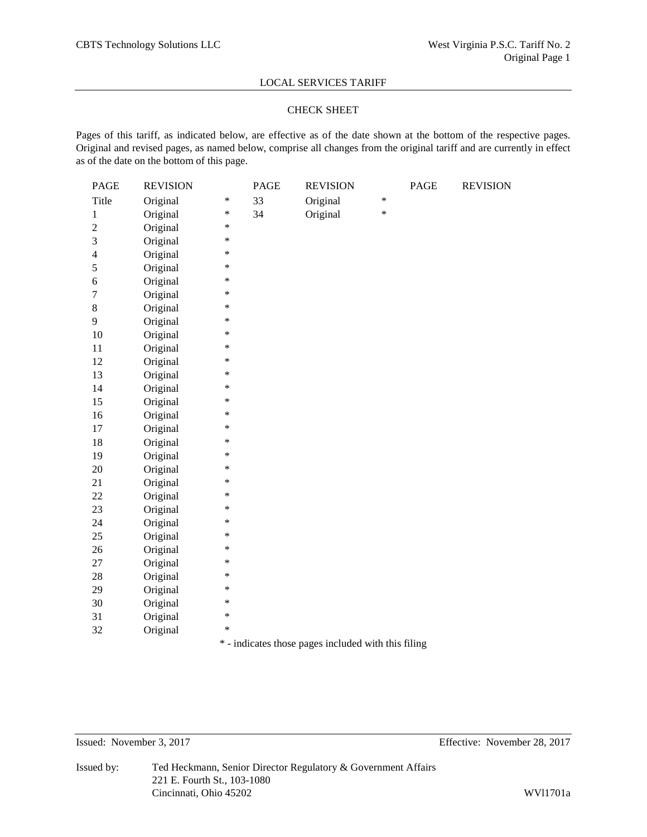## CHECK SHEET

Pages of this tariff, as indicated below, are effective as of the date shown at the bottom of the respective pages. Original and revised pages, as named below, comprise all changes from the original tariff and are currently in effect as of the date on the bottom of this page.

| <b>PAGE</b>    | <b>REVISION</b> |        | <b>PAGE</b> | <b>REVISION</b>                                     |        | <b>PAGE</b> | <b>REVISION</b> |
|----------------|-----------------|--------|-------------|-----------------------------------------------------|--------|-------------|-----------------|
| Title          | Original        | $\ast$ | 33          | Original                                            | $\ast$ |             |                 |
| 1              | Original        | *      | 34          | Original                                            | $\ast$ |             |                 |
| $\overline{c}$ | Original        | $\ast$ |             |                                                     |        |             |                 |
| 3              | Original        | ∗      |             |                                                     |        |             |                 |
| $\overline{4}$ | Original        | $\ast$ |             |                                                     |        |             |                 |
| 5              | Original        | $\ast$ |             |                                                     |        |             |                 |
| 6              | Original        | *      |             |                                                     |        |             |                 |
| $\overline{7}$ | Original        | $\ast$ |             |                                                     |        |             |                 |
| 8              | Original        | *      |             |                                                     |        |             |                 |
| 9              | Original        | $\ast$ |             |                                                     |        |             |                 |
| 10             | Original        | ∗      |             |                                                     |        |             |                 |
| 11             | Original        | $\ast$ |             |                                                     |        |             |                 |
| 12             | Original        | $\ast$ |             |                                                     |        |             |                 |
| 13             | Original        | *      |             |                                                     |        |             |                 |
| 14             | Original        | $\ast$ |             |                                                     |        |             |                 |
| 15             | Original        | *      |             |                                                     |        |             |                 |
| 16             | Original        | $\ast$ |             |                                                     |        |             |                 |
| 17             | Original        | ∗      |             |                                                     |        |             |                 |
| 18             | Original        | $\ast$ |             |                                                     |        |             |                 |
| 19             | Original        | $\ast$ |             |                                                     |        |             |                 |
| 20             | Original        | *      |             |                                                     |        |             |                 |
| 21             | Original        | $\ast$ |             |                                                     |        |             |                 |
| 22             | Original        | *      |             |                                                     |        |             |                 |
| 23             | Original        | $\ast$ |             |                                                     |        |             |                 |
| 24             | Original        | ∗      |             |                                                     |        |             |                 |
| 25             | Original        | $\ast$ |             |                                                     |        |             |                 |
| 26             | Original        | $\ast$ |             |                                                     |        |             |                 |
| 27             | Original        | *      |             |                                                     |        |             |                 |
| 28             | Original        | $\ast$ |             |                                                     |        |             |                 |
| 29             | Original        | ∗      |             |                                                     |        |             |                 |
| 30             | Original        | $\ast$ |             |                                                     |        |             |                 |
| 31             | Original        | ∗      |             |                                                     |        |             |                 |
| 32             | Original        | $\ast$ |             |                                                     |        |             |                 |
|                |                 |        |             | * - indicates those pages included with this filing |        |             |                 |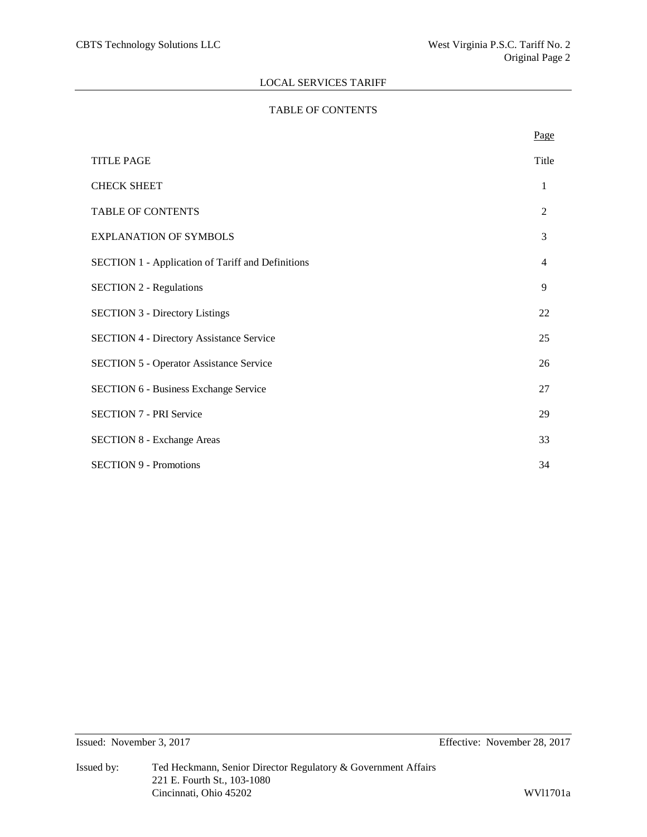# TABLE OF CONTENTS

|                                                          | Page           |
|----------------------------------------------------------|----------------|
| <b>TITLE PAGE</b>                                        | Title          |
| <b>CHECK SHEET</b>                                       | 1              |
| TABLE OF CONTENTS                                        | 2              |
| <b>EXPLANATION OF SYMBOLS</b>                            | 3              |
| <b>SECTION 1 - Application of Tariff and Definitions</b> | $\overline{4}$ |
| <b>SECTION 2 - Regulations</b>                           | 9              |
| <b>SECTION 3 - Directory Listings</b>                    | 22             |
| <b>SECTION 4 - Directory Assistance Service</b>          | 25             |
| <b>SECTION 5 - Operator Assistance Service</b>           | 26             |
| <b>SECTION 6 - Business Exchange Service</b>             | 27             |
| <b>SECTION 7 - PRI Service</b>                           | 29             |
| <b>SECTION 8 - Exchange Areas</b>                        | 33             |
| <b>SECTION 9 - Promotions</b>                            | 34             |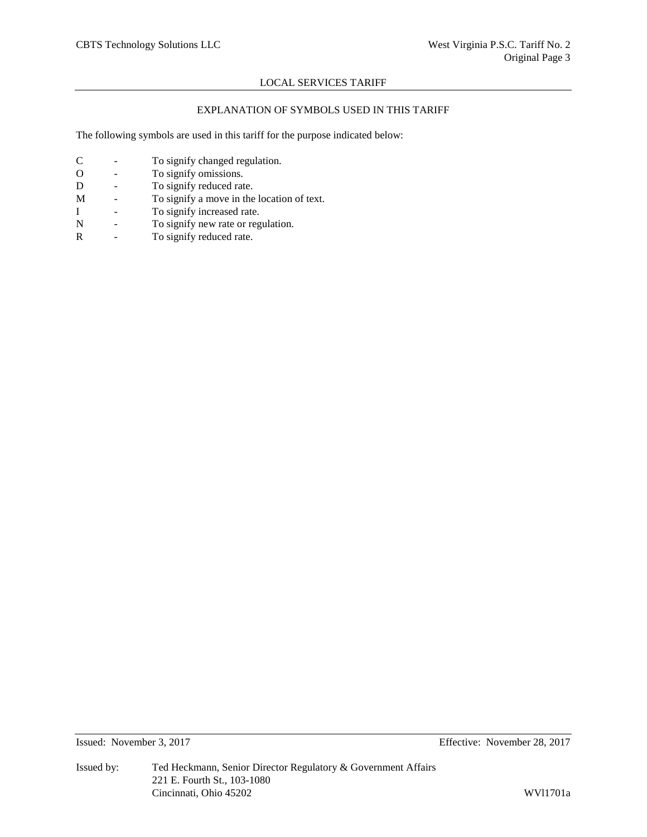# EXPLANATION OF SYMBOLS USED IN THIS TARIFF

The following symbols are used in this tariff for the purpose indicated below:

- C To signify changed regulation.
- O To signify omissions.<br>D To signify reduced rat
- To signify reduced rate.
- M To signify a move in the location of text.
- I To signify increased rate.
- N To signify new rate or regulation.
- R To signify reduced rate.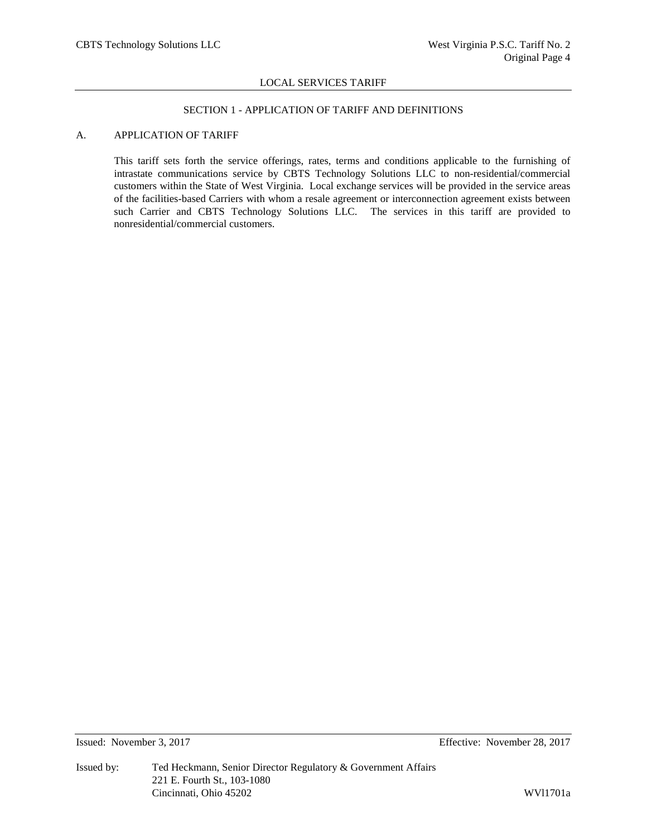## SECTION 1 - APPLICATION OF TARIFF AND DEFINITIONS

# A. APPLICATION OF TARIFF

This tariff sets forth the service offerings, rates, terms and conditions applicable to the furnishing of intrastate communications service by CBTS Technology Solutions LLC to non-residential/commercial customers within the State of West Virginia. Local exchange services will be provided in the service areas of the facilities-based Carriers with whom a resale agreement or interconnection agreement exists between such Carrier and CBTS Technology Solutions LLC. The services in this tariff are provided to nonresidential/commercial customers.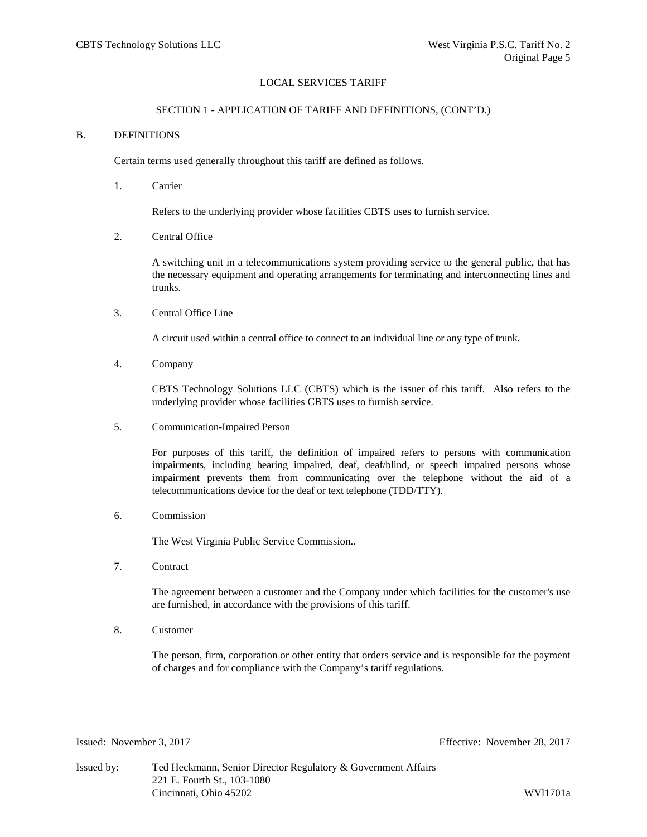# SECTION 1 - APPLICATION OF TARIFF AND DEFINITIONS, (CONT'D.)

#### B. DEFINITIONS

Certain terms used generally throughout this tariff are defined as follows.

1. Carrier

Refers to the underlying provider whose facilities CBTS uses to furnish service.

2. Central Office

A switching unit in a telecommunications system providing service to the general public, that has the necessary equipment and operating arrangements for terminating and interconnecting lines and trunks.

3. Central Office Line

A circuit used within a central office to connect to an individual line or any type of trunk.

4. Company

CBTS Technology Solutions LLC (CBTS) which is the issuer of this tariff. Also refers to the underlying provider whose facilities CBTS uses to furnish service.

5. Communication-Impaired Person

For purposes of this tariff, the definition of impaired refers to persons with communication impairments, including hearing impaired, deaf, deaf/blind, or speech impaired persons whose impairment prevents them from communicating over the telephone without the aid of a telecommunications device for the deaf or text telephone (TDD/TTY).

6. Commission

The West Virginia Public Service Commission..

7. Contract

The agreement between a customer and the Company under which facilities for the customer's use are furnished, in accordance with the provisions of this tariff.

8. Customer

The person, firm, corporation or other entity that orders service and is responsible for the payment of charges and for compliance with the Company's tariff regulations.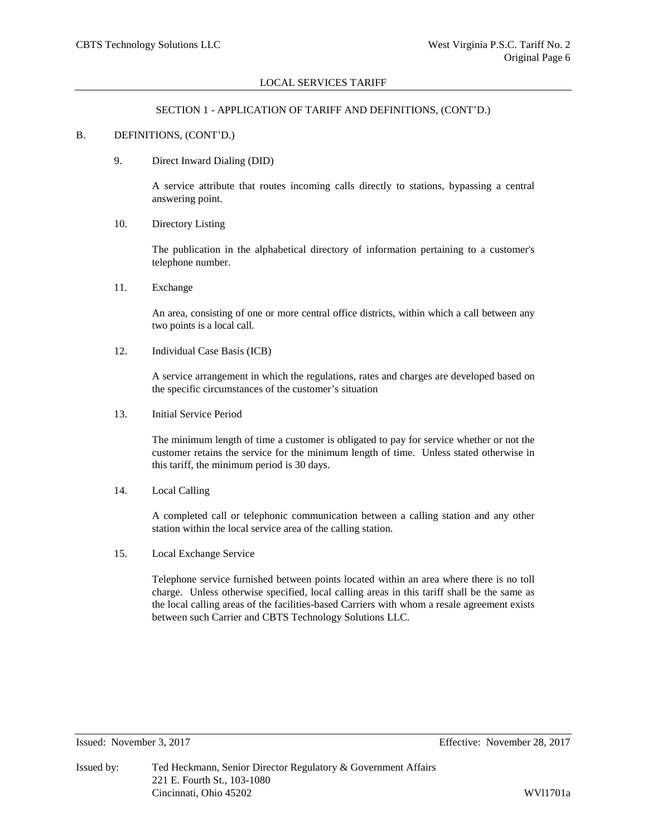## SECTION 1 - APPLICATION OF TARIFF AND DEFINITIONS, (CONT'D.)

#### B. DEFINITIONS, (CONT'D.)

9. Direct Inward Dialing (DID)

A service attribute that routes incoming calls directly to stations, bypassing a central answering point.

10. Directory Listing

The publication in the alphabetical directory of information pertaining to a customer's telephone number.

11. Exchange

An area, consisting of one or more central office districts, within which a call between any two points is a local call.

12. Individual Case Basis (ICB)

A service arrangement in which the regulations, rates and charges are developed based on the specific circumstances of the customer's situation

13. Initial Service Period

The minimum length of time a customer is obligated to pay for service whether or not the customer retains the service for the minimum length of time. Unless stated otherwise in this tariff, the minimum period is 30 days.

14. Local Calling

A completed call or telephonic communication between a calling station and any other station within the local service area of the calling station.

15. Local Exchange Service

Telephone service furnished between points located within an area where there is no toll charge. Unless otherwise specified, local calling areas in this tariff shall be the same as the local calling areas of the facilities-based Carriers with whom a resale agreement exists between such Carrier and CBTS Technology Solutions LLC.

Issued: November 3, 2017 Effective: November 28, 2017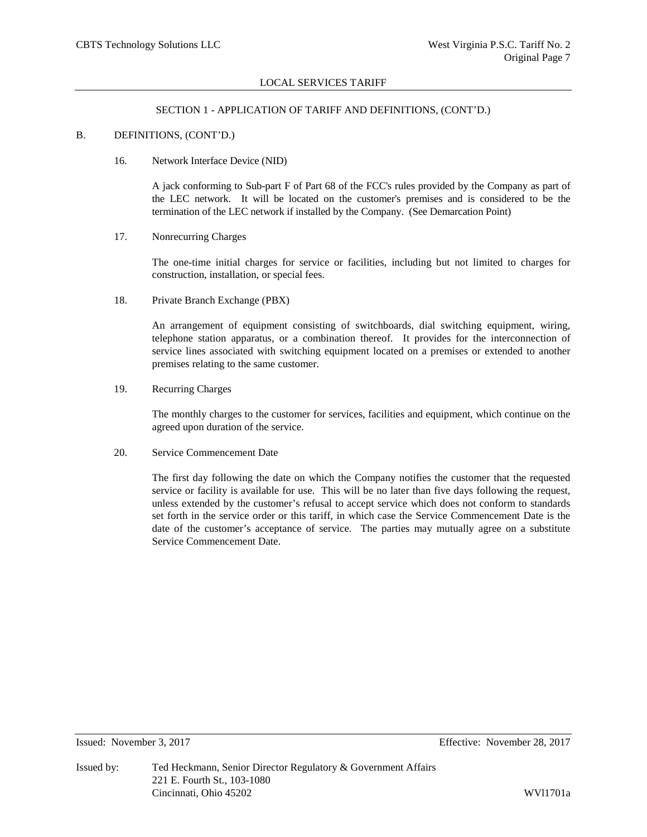## SECTION 1 - APPLICATION OF TARIFF AND DEFINITIONS, (CONT'D.)

## B. DEFINITIONS, (CONT'D.)

## 16. Network Interface Device (NID)

A jack conforming to Sub-part F of Part 68 of the FCC's rules provided by the Company as part of the LEC network. It will be located on the customer's premises and is considered to be the termination of the LEC network if installed by the Company. (See Demarcation Point)

## 17. Nonrecurring Charges

The one-time initial charges for service or facilities, including but not limited to charges for construction, installation, or special fees.

18. Private Branch Exchange (PBX)

An arrangement of equipment consisting of switchboards, dial switching equipment, wiring, telephone station apparatus, or a combination thereof. It provides for the interconnection of service lines associated with switching equipment located on a premises or extended to another premises relating to the same customer.

19. Recurring Charges

The monthly charges to the customer for services, facilities and equipment, which continue on the agreed upon duration of the service.

## 20. Service Commencement Date

The first day following the date on which the Company notifies the customer that the requested service or facility is available for use. This will be no later than five days following the request, unless extended by the customer's refusal to accept service which does not conform to standards set forth in the service order or this tariff, in which case the Service Commencement Date is the date of the customer's acceptance of service. The parties may mutually agree on a substitute Service Commencement Date.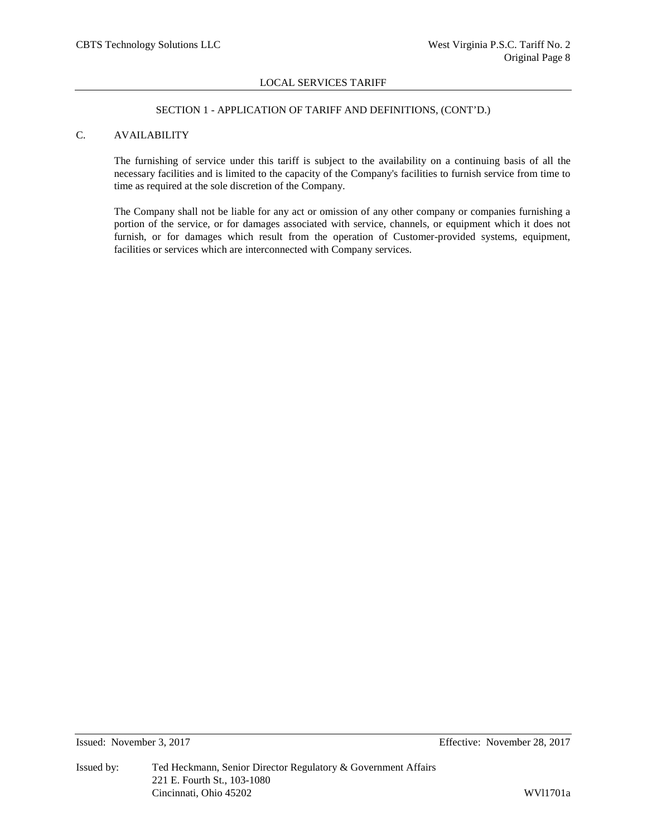## SECTION 1 - APPLICATION OF TARIFF AND DEFINITIONS, (CONT'D.)

# C. AVAILABILITY

The furnishing of service under this tariff is subject to the availability on a continuing basis of all the necessary facilities and is limited to the capacity of the Company's facilities to furnish service from time to time as required at the sole discretion of the Company.

The Company shall not be liable for any act or omission of any other company or companies furnishing a portion of the service, or for damages associated with service, channels, or equipment which it does not furnish, or for damages which result from the operation of Customer-provided systems, equipment, facilities or services which are interconnected with Company services.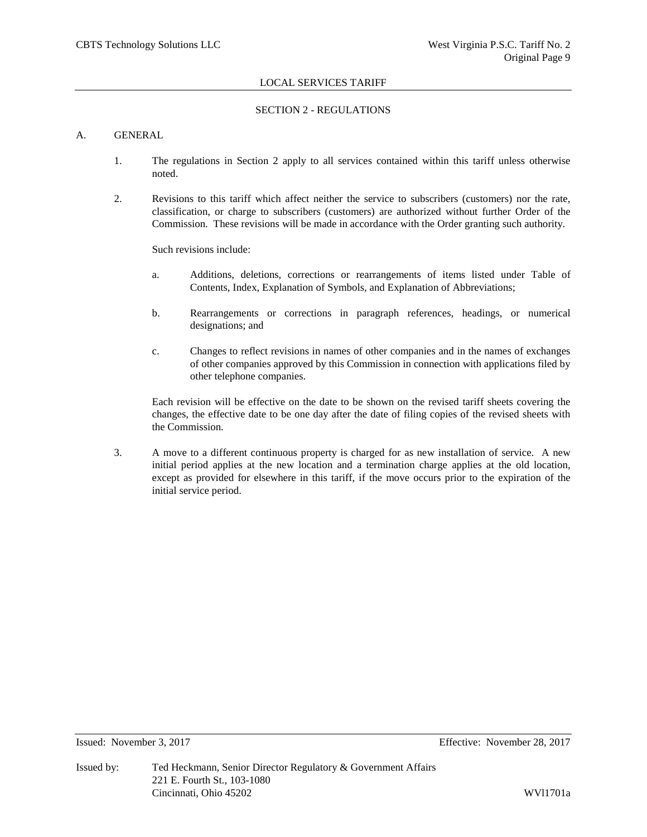# SECTION 2 - REGULATIONS

## A. GENERAL

- 1. The regulations in Section 2 apply to all services contained within this tariff unless otherwise noted.
- 2. Revisions to this tariff which affect neither the service to subscribers (customers) nor the rate, classification, or charge to subscribers (customers) are authorized without further Order of the Commission. These revisions will be made in accordance with the Order granting such authority.

Such revisions include:

- a. Additions, deletions, corrections or rearrangements of items listed under Table of Contents, Index, Explanation of Symbols, and Explanation of Abbreviations;
- b. Rearrangements or corrections in paragraph references, headings, or numerical designations; and
- c. Changes to reflect revisions in names of other companies and in the names of exchanges of other companies approved by this Commission in connection with applications filed by other telephone companies.

Each revision will be effective on the date to be shown on the revised tariff sheets covering the changes, the effective date to be one day after the date of filing copies of the revised sheets with the Commission.

3. A move to a different continuous property is charged for as new installation of service. A new initial period applies at the new location and a termination charge applies at the old location, except as provided for elsewhere in this tariff, if the move occurs prior to the expiration of the initial service period.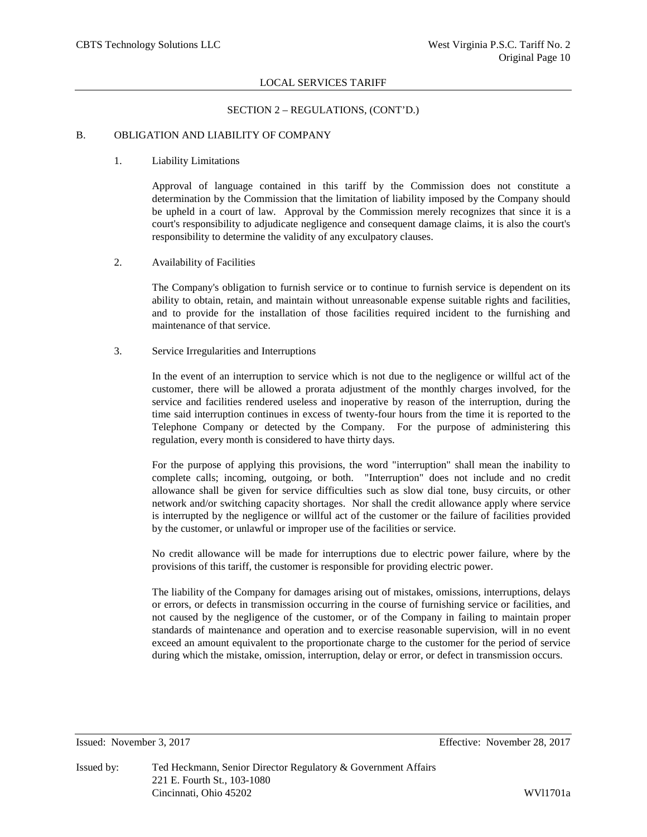## SECTION 2 – REGULATIONS, (CONT'D.)

## B. OBLIGATION AND LIABILITY OF COMPANY

1. Liability Limitations

Approval of language contained in this tariff by the Commission does not constitute a determination by the Commission that the limitation of liability imposed by the Company should be upheld in a court of law. Approval by the Commission merely recognizes that since it is a court's responsibility to adjudicate negligence and consequent damage claims, it is also the court's responsibility to determine the validity of any exculpatory clauses.

2. Availability of Facilities

The Company's obligation to furnish service or to continue to furnish service is dependent on its ability to obtain, retain, and maintain without unreasonable expense suitable rights and facilities, and to provide for the installation of those facilities required incident to the furnishing and maintenance of that service.

3. Service Irregularities and Interruptions

In the event of an interruption to service which is not due to the negligence or willful act of the customer, there will be allowed a prorata adjustment of the monthly charges involved, for the service and facilities rendered useless and inoperative by reason of the interruption, during the time said interruption continues in excess of twenty-four hours from the time it is reported to the Telephone Company or detected by the Company. For the purpose of administering this regulation, every month is considered to have thirty days.

For the purpose of applying this provisions, the word "interruption" shall mean the inability to complete calls; incoming, outgoing, or both. "Interruption" does not include and no credit allowance shall be given for service difficulties such as slow dial tone, busy circuits, or other network and/or switching capacity shortages. Nor shall the credit allowance apply where service is interrupted by the negligence or willful act of the customer or the failure of facilities provided by the customer, or unlawful or improper use of the facilities or service.

No credit allowance will be made for interruptions due to electric power failure, where by the provisions of this tariff, the customer is responsible for providing electric power.

The liability of the Company for damages arising out of mistakes, omissions, interruptions, delays or errors, or defects in transmission occurring in the course of furnishing service or facilities, and not caused by the negligence of the customer, or of the Company in failing to maintain proper standards of maintenance and operation and to exercise reasonable supervision, will in no event exceed an amount equivalent to the proportionate charge to the customer for the period of service during which the mistake, omission, interruption, delay or error, or defect in transmission occurs.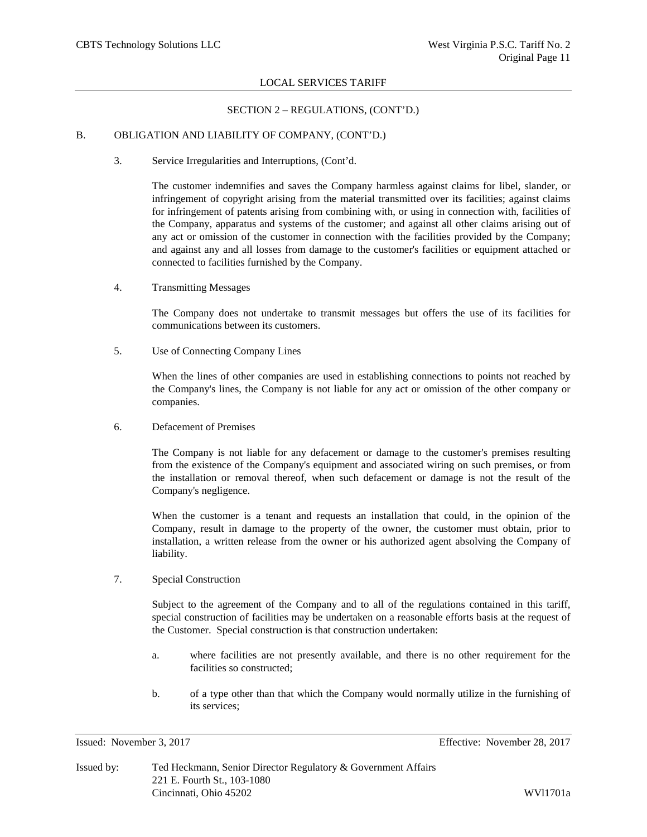## SECTION 2 – REGULATIONS, (CONT'D.)

## B. OBLIGATION AND LIABILITY OF COMPANY, (CONT'D.)

3. Service Irregularities and Interruptions, (Cont'd.

The customer indemnifies and saves the Company harmless against claims for libel, slander, or infringement of copyright arising from the material transmitted over its facilities; against claims for infringement of patents arising from combining with, or using in connection with, facilities of the Company, apparatus and systems of the customer; and against all other claims arising out of any act or omission of the customer in connection with the facilities provided by the Company; and against any and all losses from damage to the customer's facilities or equipment attached or connected to facilities furnished by the Company.

4. Transmitting Messages

The Company does not undertake to transmit messages but offers the use of its facilities for communications between its customers.

5. Use of Connecting Company Lines

When the lines of other companies are used in establishing connections to points not reached by the Company's lines, the Company is not liable for any act or omission of the other company or companies.

6. Defacement of Premises

The Company is not liable for any defacement or damage to the customer's premises resulting from the existence of the Company's equipment and associated wiring on such premises, or from the installation or removal thereof, when such defacement or damage is not the result of the Company's negligence.

When the customer is a tenant and requests an installation that could, in the opinion of the Company, result in damage to the property of the owner, the customer must obtain, prior to installation, a written release from the owner or his authorized agent absolving the Company of liability.

7. Special Construction

Subject to the agreement of the Company and to all of the regulations contained in this tariff, special construction of facilities may be undertaken on a reasonable efforts basis at the request of the Customer. Special construction is that construction undertaken:

- a. where facilities are not presently available, and there is no other requirement for the facilities so constructed;
- b. of a type other than that which the Company would normally utilize in the furnishing of its services;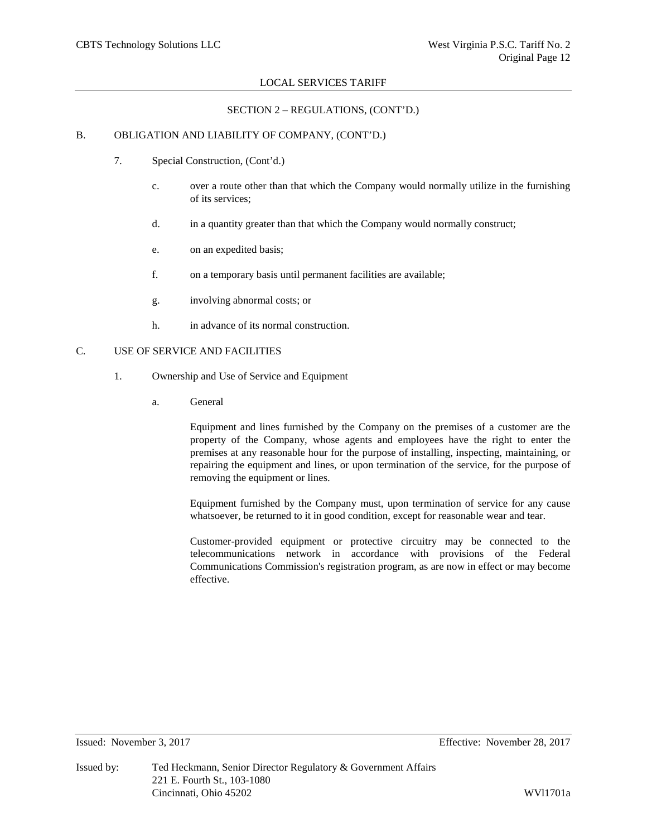## SECTION 2 – REGULATIONS, (CONT'D.)

## B. OBLIGATION AND LIABILITY OF COMPANY, (CONT'D.)

- 7. Special Construction, (Cont'd.)
	- c. over a route other than that which the Company would normally utilize in the furnishing of its services;
	- d. in a quantity greater than that which the Company would normally construct;
	- e. on an expedited basis;
	- f. on a temporary basis until permanent facilities are available;
	- g. involving abnormal costs; or
	- h. in advance of its normal construction.

# C. USE OF SERVICE AND FACILITIES

- 1. Ownership and Use of Service and Equipment
	- a. General

Equipment and lines furnished by the Company on the premises of a customer are the property of the Company, whose agents and employees have the right to enter the premises at any reasonable hour for the purpose of installing, inspecting, maintaining, or repairing the equipment and lines, or upon termination of the service, for the purpose of removing the equipment or lines.

Equipment furnished by the Company must, upon termination of service for any cause whatsoever, be returned to it in good condition, except for reasonable wear and tear.

Customer-provided equipment or protective circuitry may be connected to the telecommunications network in accordance with provisions of the Federal Communications Commission's registration program, as are now in effect or may become effective.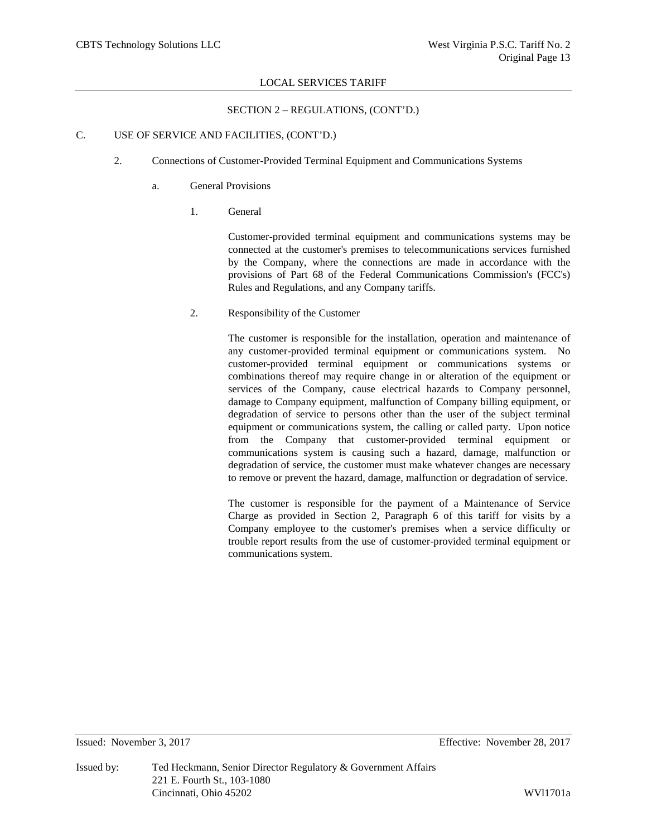## SECTION 2 – REGULATIONS, (CONT'D.)

## C. USE OF SERVICE AND FACILITIES, (CONT'D.)

- 2. Connections of Customer-Provided Terminal Equipment and Communications Systems
	- a. General Provisions
		- 1. General

Customer-provided terminal equipment and communications systems may be connected at the customer's premises to telecommunications services furnished by the Company, where the connections are made in accordance with the provisions of Part 68 of the Federal Communications Commission's (FCC's) Rules and Regulations, and any Company tariffs.

2. Responsibility of the Customer

The customer is responsible for the installation, operation and maintenance of any customer-provided terminal equipment or communications system. No customer-provided terminal equipment or communications systems or combinations thereof may require change in or alteration of the equipment or services of the Company, cause electrical hazards to Company personnel, damage to Company equipment, malfunction of Company billing equipment, or degradation of service to persons other than the user of the subject terminal equipment or communications system, the calling or called party. Upon notice from the Company that customer-provided terminal equipment or communications system is causing such a hazard, damage, malfunction or degradation of service, the customer must make whatever changes are necessary to remove or prevent the hazard, damage, malfunction or degradation of service.

The customer is responsible for the payment of a Maintenance of Service Charge as provided in Section 2, Paragraph 6 of this tariff for visits by a Company employee to the customer's premises when a service difficulty or trouble report results from the use of customer-provided terminal equipment or communications system.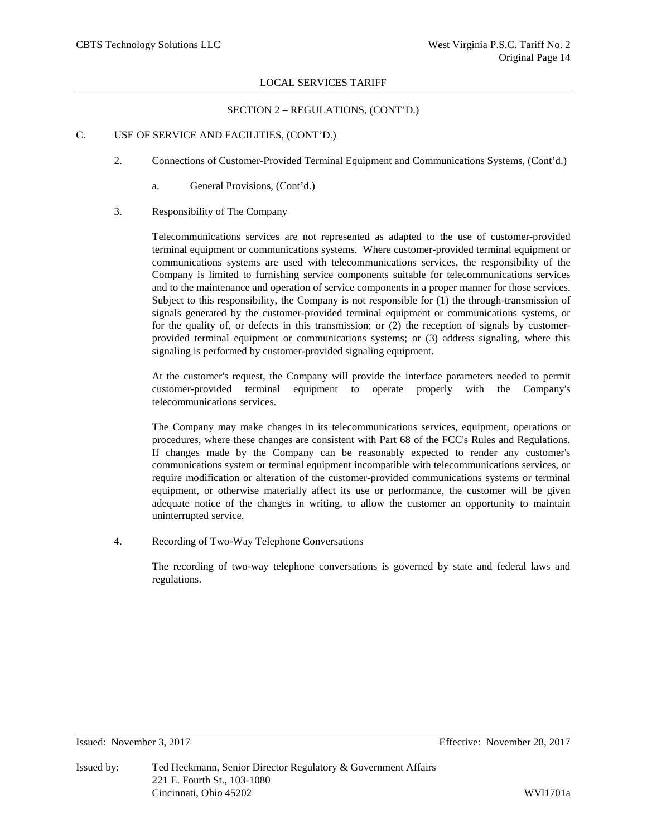## SECTION 2 – REGULATIONS, (CONT'D.)

## C. USE OF SERVICE AND FACILITIES, (CONT'D.)

- 2. Connections of Customer-Provided Terminal Equipment and Communications Systems, (Cont'd.)
	- a. General Provisions, (Cont'd.)
- 3. Responsibility of The Company

Telecommunications services are not represented as adapted to the use of customer-provided terminal equipment or communications systems. Where customer-provided terminal equipment or communications systems are used with telecommunications services, the responsibility of the Company is limited to furnishing service components suitable for telecommunications services and to the maintenance and operation of service components in a proper manner for those services. Subject to this responsibility, the Company is not responsible for (1) the through-transmission of signals generated by the customer-provided terminal equipment or communications systems, or for the quality of, or defects in this transmission; or (2) the reception of signals by customerprovided terminal equipment or communications systems; or (3) address signaling, where this signaling is performed by customer-provided signaling equipment.

At the customer's request, the Company will provide the interface parameters needed to permit customer-provided terminal equipment to operate properly with the Company's telecommunications services.

The Company may make changes in its telecommunications services, equipment, operations or procedures, where these changes are consistent with Part 68 of the FCC's Rules and Regulations. If changes made by the Company can be reasonably expected to render any customer's communications system or terminal equipment incompatible with telecommunications services, or require modification or alteration of the customer-provided communications systems or terminal equipment, or otherwise materially affect its use or performance, the customer will be given adequate notice of the changes in writing, to allow the customer an opportunity to maintain uninterrupted service.

4. Recording of Two-Way Telephone Conversations

The recording of two-way telephone conversations is governed by state and federal laws and regulations.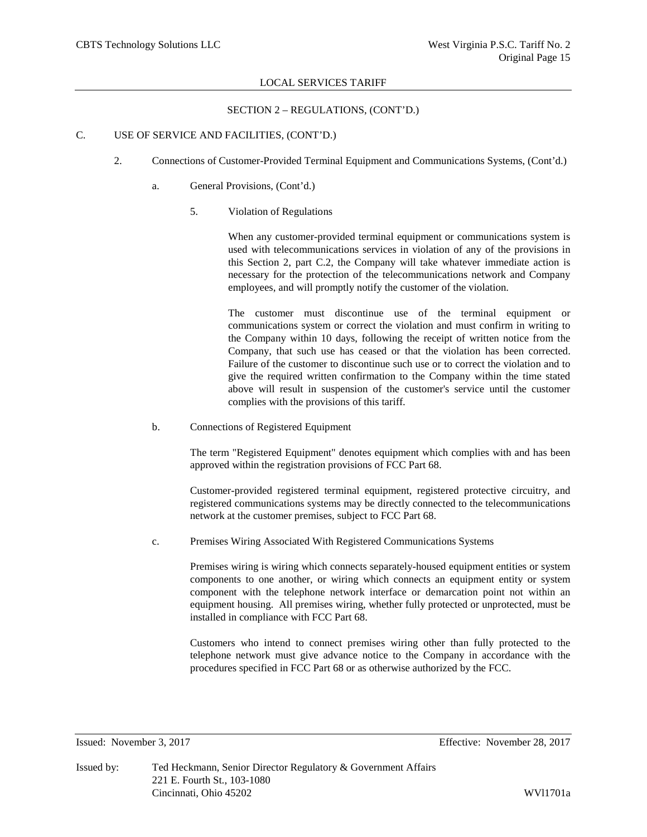## SECTION 2 – REGULATIONS, (CONT'D.)

## C. USE OF SERVICE AND FACILITIES, (CONT'D.)

- 2. Connections of Customer-Provided Terminal Equipment and Communications Systems, (Cont'd.)
	- a. General Provisions, (Cont'd.)
		- 5. Violation of Regulations

When any customer-provided terminal equipment or communications system is used with telecommunications services in violation of any of the provisions in this Section 2, part C.2, the Company will take whatever immediate action is necessary for the protection of the telecommunications network and Company employees, and will promptly notify the customer of the violation.

The customer must discontinue use of the terminal equipment or communications system or correct the violation and must confirm in writing to the Company within 10 days, following the receipt of written notice from the Company, that such use has ceased or that the violation has been corrected. Failure of the customer to discontinue such use or to correct the violation and to give the required written confirmation to the Company within the time stated above will result in suspension of the customer's service until the customer complies with the provisions of this tariff.

b. Connections of Registered Equipment

The term "Registered Equipment" denotes equipment which complies with and has been approved within the registration provisions of FCC Part 68.

Customer-provided registered terminal equipment, registered protective circuitry, and registered communications systems may be directly connected to the telecommunications network at the customer premises, subject to FCC Part 68.

c. Premises Wiring Associated With Registered Communications Systems

Premises wiring is wiring which connects separately-housed equipment entities or system components to one another, or wiring which connects an equipment entity or system component with the telephone network interface or demarcation point not within an equipment housing. All premises wiring, whether fully protected or unprotected, must be installed in compliance with FCC Part 68.

Customers who intend to connect premises wiring other than fully protected to the telephone network must give advance notice to the Company in accordance with the procedures specified in FCC Part 68 or as otherwise authorized by the FCC.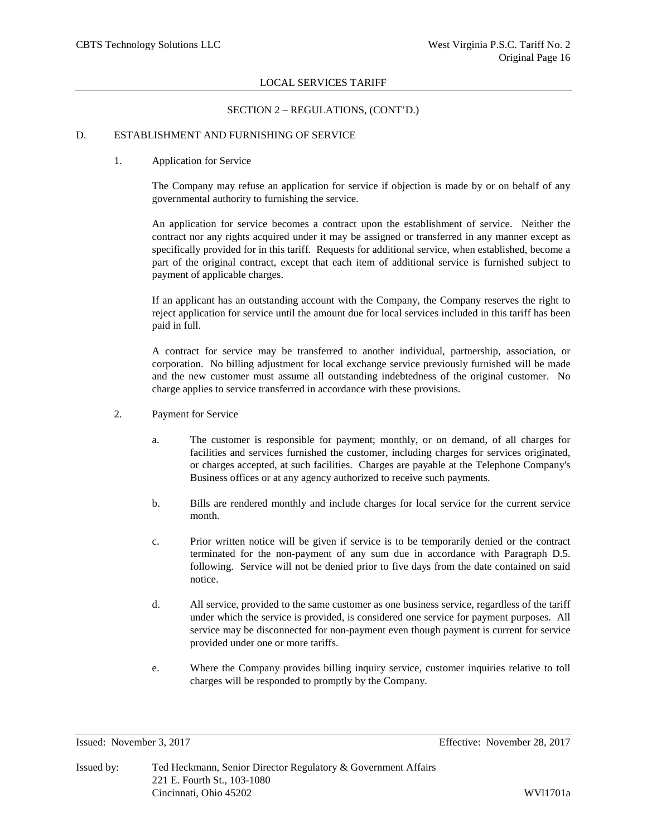## SECTION 2 – REGULATIONS, (CONT'D.)

## D. ESTABLISHMENT AND FURNISHING OF SERVICE

## 1. Application for Service

The Company may refuse an application for service if objection is made by or on behalf of any governmental authority to furnishing the service.

An application for service becomes a contract upon the establishment of service. Neither the contract nor any rights acquired under it may be assigned or transferred in any manner except as specifically provided for in this tariff. Requests for additional service, when established, become a part of the original contract, except that each item of additional service is furnished subject to payment of applicable charges.

If an applicant has an outstanding account with the Company, the Company reserves the right to reject application for service until the amount due for local services included in this tariff has been paid in full.

A contract for service may be transferred to another individual, partnership, association, or corporation. No billing adjustment for local exchange service previously furnished will be made and the new customer must assume all outstanding indebtedness of the original customer. No charge applies to service transferred in accordance with these provisions.

- 2. Payment for Service
	- a. The customer is responsible for payment; monthly, or on demand, of all charges for facilities and services furnished the customer, including charges for services originated, or charges accepted, at such facilities. Charges are payable at the Telephone Company's Business offices or at any agency authorized to receive such payments.
	- b. Bills are rendered monthly and include charges for local service for the current service month.
	- c. Prior written notice will be given if service is to be temporarily denied or the contract terminated for the non-payment of any sum due in accordance with Paragraph D.5. following. Service will not be denied prior to five days from the date contained on said notice.
	- d. All service, provided to the same customer as one business service, regardless of the tariff under which the service is provided, is considered one service for payment purposes. All service may be disconnected for non-payment even though payment is current for service provided under one or more tariffs.
	- e. Where the Company provides billing inquiry service, customer inquiries relative to toll charges will be responded to promptly by the Company.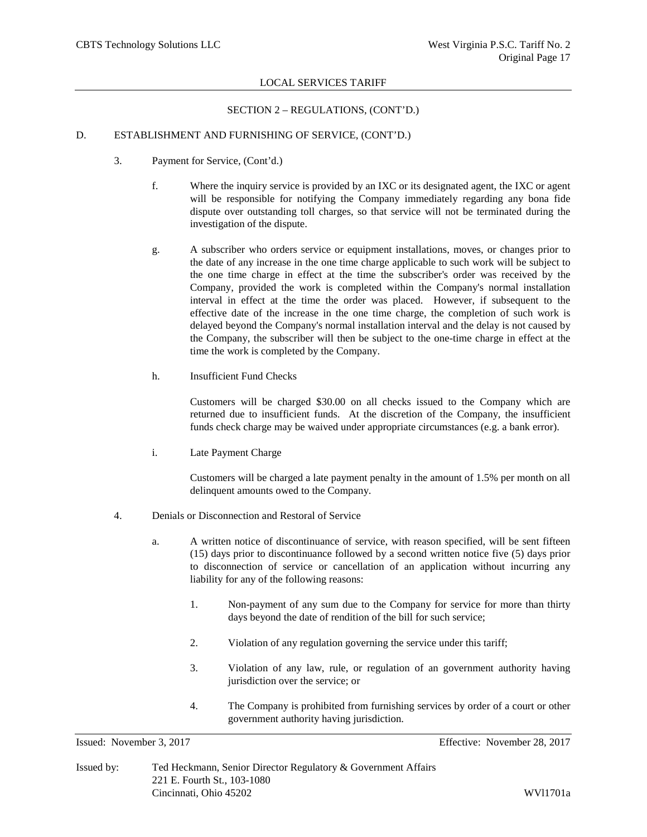## SECTION 2 – REGULATIONS, (CONT'D.)

## D. ESTABLISHMENT AND FURNISHING OF SERVICE, (CONT'D.)

- 3. Payment for Service, (Cont'd.)
	- f. Where the inquiry service is provided by an IXC or its designated agent, the IXC or agent will be responsible for notifying the Company immediately regarding any bona fide dispute over outstanding toll charges, so that service will not be terminated during the investigation of the dispute.
	- g. A subscriber who orders service or equipment installations, moves, or changes prior to the date of any increase in the one time charge applicable to such work will be subject to the one time charge in effect at the time the subscriber's order was received by the Company, provided the work is completed within the Company's normal installation interval in effect at the time the order was placed. However, if subsequent to the effective date of the increase in the one time charge, the completion of such work is delayed beyond the Company's normal installation interval and the delay is not caused by the Company, the subscriber will then be subject to the one-time charge in effect at the time the work is completed by the Company.
	- h. Insufficient Fund Checks

Customers will be charged \$30.00 on all checks issued to the Company which are returned due to insufficient funds. At the discretion of the Company, the insufficient funds check charge may be waived under appropriate circumstances (e.g. a bank error).

i. Late Payment Charge

Customers will be charged a late payment penalty in the amount of 1.5% per month on all delinquent amounts owed to the Company.

- 4. Denials or Disconnection and Restoral of Service
	- a. A written notice of discontinuance of service, with reason specified, will be sent fifteen (15) days prior to discontinuance followed by a second written notice five (5) days prior to disconnection of service or cancellation of an application without incurring any liability for any of the following reasons:
		- 1. Non-payment of any sum due to the Company for service for more than thirty days beyond the date of rendition of the bill for such service;
		- 2. Violation of any regulation governing the service under this tariff;
		- 3. Violation of any law, rule, or regulation of an government authority having jurisdiction over the service; or
		- 4. The Company is prohibited from furnishing services by order of a court or other government authority having jurisdiction.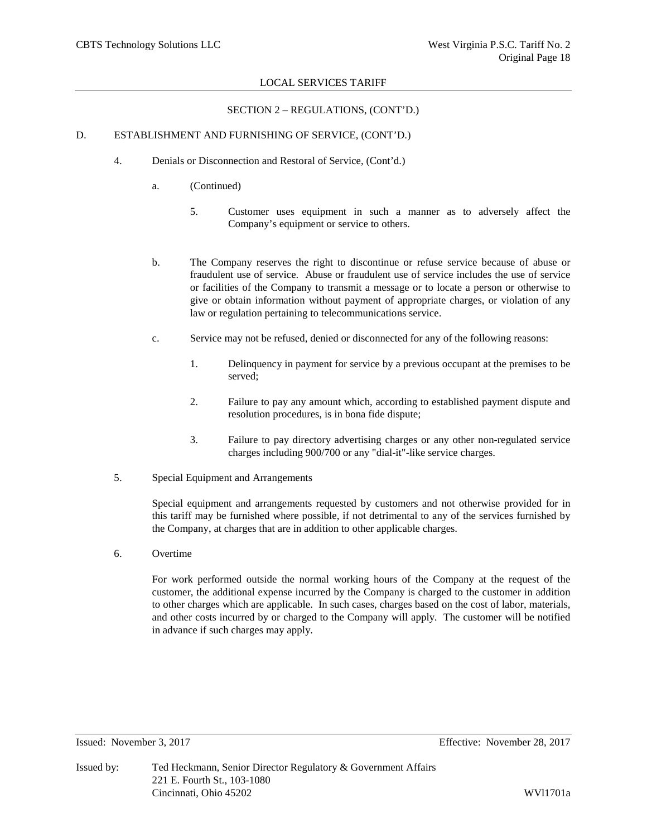# SECTION 2 – REGULATIONS, (CONT'D.)

# D. ESTABLISHMENT AND FURNISHING OF SERVICE, (CONT'D.)

- 4. Denials or Disconnection and Restoral of Service, (Cont'd.)
	- a. (Continued)
		- 5. Customer uses equipment in such a manner as to adversely affect the Company's equipment or service to others.
	- b. The Company reserves the right to discontinue or refuse service because of abuse or fraudulent use of service. Abuse or fraudulent use of service includes the use of service or facilities of the Company to transmit a message or to locate a person or otherwise to give or obtain information without payment of appropriate charges, or violation of any law or regulation pertaining to telecommunications service.
	- c. Service may not be refused, denied or disconnected for any of the following reasons:
		- 1. Delinquency in payment for service by a previous occupant at the premises to be served;
		- 2. Failure to pay any amount which, according to established payment dispute and resolution procedures, is in bona fide dispute;
		- 3. Failure to pay directory advertising charges or any other non-regulated service charges including 900/700 or any "dial-it"-like service charges.
- 5. Special Equipment and Arrangements

Special equipment and arrangements requested by customers and not otherwise provided for in this tariff may be furnished where possible, if not detrimental to any of the services furnished by the Company, at charges that are in addition to other applicable charges.

6. Overtime

For work performed outside the normal working hours of the Company at the request of the customer, the additional expense incurred by the Company is charged to the customer in addition to other charges which are applicable. In such cases, charges based on the cost of labor, materials, and other costs incurred by or charged to the Company will apply. The customer will be notified in advance if such charges may apply.

Issued: November 3, 2017 Effective: November 28, 2017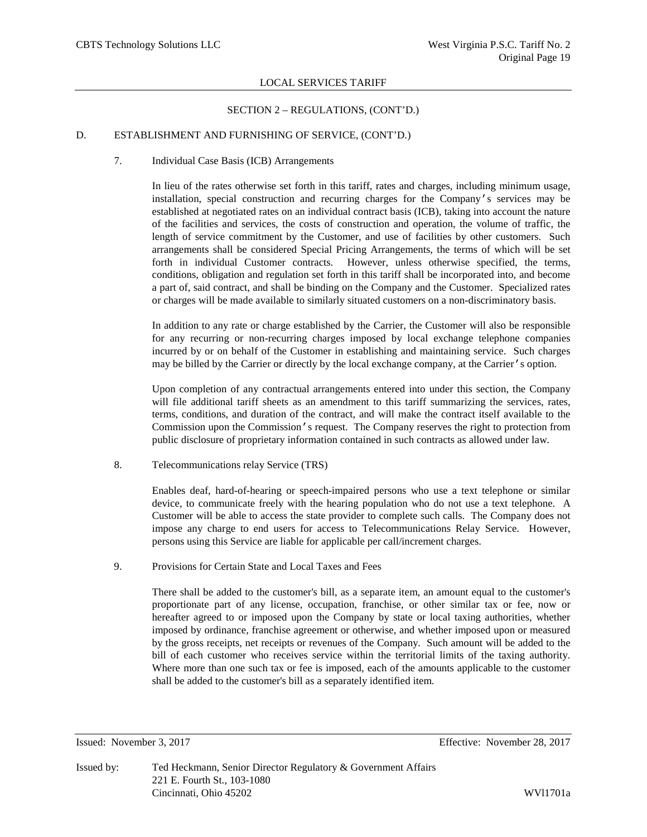## SECTION 2 – REGULATIONS, (CONT'D.)

## D. ESTABLISHMENT AND FURNISHING OF SERVICE, (CONT'D.)

#### 7. Individual Case Basis (ICB) Arrangements

In lieu of the rates otherwise set forth in this tariff, rates and charges, including minimum usage, installation, special construction and recurring charges for the Company's services may be established at negotiated rates on an individual contract basis (ICB), taking into account the nature of the facilities and services, the costs of construction and operation, the volume of traffic, the length of service commitment by the Customer, and use of facilities by other customers. Such arrangements shall be considered Special Pricing Arrangements, the terms of which will be set forth in individual Customer contracts. However, unless otherwise specified, the terms, conditions, obligation and regulation set forth in this tariff shall be incorporated into, and become a part of, said contract, and shall be binding on the Company and the Customer. Specialized rates or charges will be made available to similarly situated customers on a non-discriminatory basis.

In addition to any rate or charge established by the Carrier, the Customer will also be responsible for any recurring or non-recurring charges imposed by local exchange telephone companies incurred by or on behalf of the Customer in establishing and maintaining service. Such charges may be billed by the Carrier or directly by the local exchange company, at the Carrier's option.

Upon completion of any contractual arrangements entered into under this section, the Company will file additional tariff sheets as an amendment to this tariff summarizing the services, rates, terms, conditions, and duration of the contract, and will make the contract itself available to the Commission upon the Commission's request. The Company reserves the right to protection from public disclosure of proprietary information contained in such contracts as allowed under law.

8. Telecommunications relay Service (TRS)

Enables deaf, hard-of-hearing or speech-impaired persons who use a text telephone or similar device, to communicate freely with the hearing population who do not use a text telephone. A Customer will be able to access the state provider to complete such calls. The Company does not impose any charge to end users for access to Telecommunications Relay Service. However, persons using this Service are liable for applicable per call/increment charges.

9. Provisions for Certain State and Local Taxes and Fees

There shall be added to the customer's bill, as a separate item, an amount equal to the customer's proportionate part of any license, occupation, franchise, or other similar tax or fee, now or hereafter agreed to or imposed upon the Company by state or local taxing authorities, whether imposed by ordinance, franchise agreement or otherwise, and whether imposed upon or measured by the gross receipts, net receipts or revenues of the Company. Such amount will be added to the bill of each customer who receives service within the territorial limits of the taxing authority. Where more than one such tax or fee is imposed, each of the amounts applicable to the customer shall be added to the customer's bill as a separately identified item.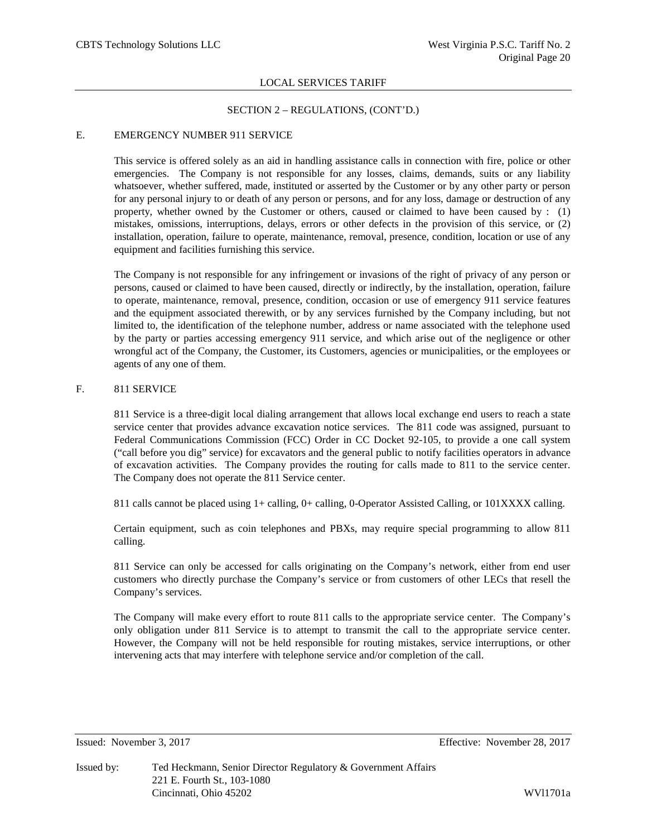## SECTION 2 – REGULATIONS, (CONT'D.)

## E. EMERGENCY NUMBER 911 SERVICE

This service is offered solely as an aid in handling assistance calls in connection with fire, police or other emergencies. The Company is not responsible for any losses, claims, demands, suits or any liability whatsoever, whether suffered, made, instituted or asserted by the Customer or by any other party or person for any personal injury to or death of any person or persons, and for any loss, damage or destruction of any property, whether owned by the Customer or others, caused or claimed to have been caused by  $: (1)$ mistakes, omissions, interruptions, delays, errors or other defects in the provision of this service, or (2) installation, operation, failure to operate, maintenance, removal, presence, condition, location or use of any equipment and facilities furnishing this service.

The Company is not responsible for any infringement or invasions of the right of privacy of any person or persons, caused or claimed to have been caused, directly or indirectly, by the installation, operation, failure to operate, maintenance, removal, presence, condition, occasion or use of emergency 911 service features and the equipment associated therewith, or by any services furnished by the Company including, but not limited to, the identification of the telephone number, address or name associated with the telephone used by the party or parties accessing emergency 911 service, and which arise out of the negligence or other wrongful act of the Company, the Customer, its Customers, agencies or municipalities, or the employees or agents of any one of them.

## F. 811 SERVICE

811 Service is a three-digit local dialing arrangement that allows local exchange end users to reach a state service center that provides advance excavation notice services. The 811 code was assigned, pursuant to Federal Communications Commission (FCC) Order in CC Docket 92-105, to provide a one call system ("call before you dig" service) for excavators and the general public to notify facilities operators in advance of excavation activities. The Company provides the routing for calls made to 811 to the service center. The Company does not operate the 811 Service center.

811 calls cannot be placed using 1+ calling, 0+ calling, 0-Operator Assisted Calling, or 101XXXX calling.

Certain equipment, such as coin telephones and PBXs, may require special programming to allow 811 calling.

811 Service can only be accessed for calls originating on the Company's network, either from end user customers who directly purchase the Company's service or from customers of other LECs that resell the Company's services.

The Company will make every effort to route 811 calls to the appropriate service center. The Company's only obligation under 811 Service is to attempt to transmit the call to the appropriate service center. However, the Company will not be held responsible for routing mistakes, service interruptions, or other intervening acts that may interfere with telephone service and/or completion of the call.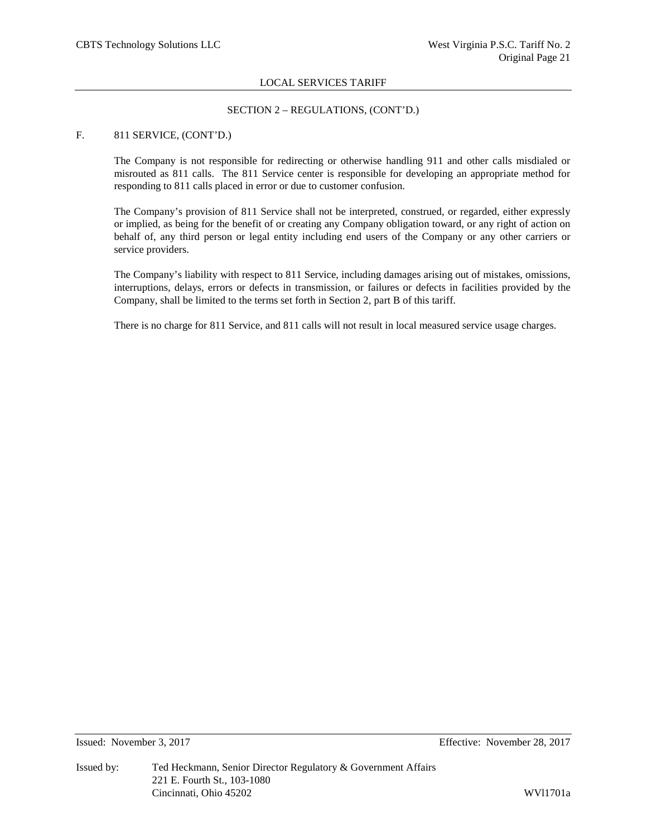# SECTION 2 – REGULATIONS, (CONT'D.)

## F. 811 SERVICE, (CONT'D.)

The Company is not responsible for redirecting or otherwise handling 911 and other calls misdialed or misrouted as 811 calls. The 811 Service center is responsible for developing an appropriate method for responding to 811 calls placed in error or due to customer confusion.

The Company's provision of 811 Service shall not be interpreted, construed, or regarded, either expressly or implied, as being for the benefit of or creating any Company obligation toward, or any right of action on behalf of, any third person or legal entity including end users of the Company or any other carriers or service providers.

The Company's liability with respect to 811 Service, including damages arising out of mistakes, omissions, interruptions, delays, errors or defects in transmission, or failures or defects in facilities provided by the Company, shall be limited to the terms set forth in Section 2, part B of this tariff.

There is no charge for 811 Service, and 811 calls will not result in local measured service usage charges.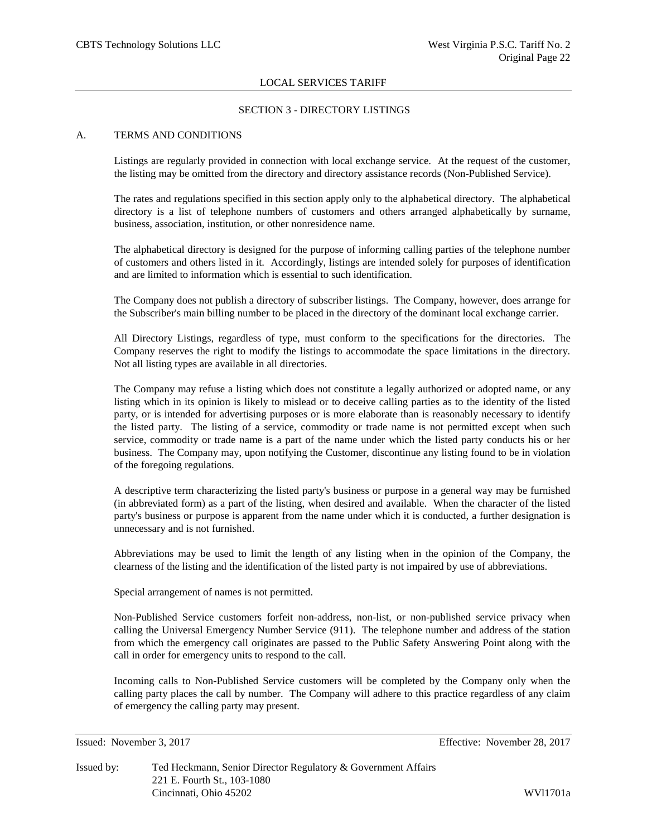## SECTION 3 - DIRECTORY LISTINGS

### A. TERMS AND CONDITIONS

Listings are regularly provided in connection with local exchange service. At the request of the customer, the listing may be omitted from the directory and directory assistance records (Non-Published Service).

The rates and regulations specified in this section apply only to the alphabetical directory. The alphabetical directory is a list of telephone numbers of customers and others arranged alphabetically by surname, business, association, institution, or other nonresidence name.

The alphabetical directory is designed for the purpose of informing calling parties of the telephone number of customers and others listed in it. Accordingly, listings are intended solely for purposes of identification and are limited to information which is essential to such identification.

The Company does not publish a directory of subscriber listings. The Company, however, does arrange for the Subscriber's main billing number to be placed in the directory of the dominant local exchange carrier.

All Directory Listings, regardless of type, must conform to the specifications for the directories. The Company reserves the right to modify the listings to accommodate the space limitations in the directory. Not all listing types are available in all directories.

The Company may refuse a listing which does not constitute a legally authorized or adopted name, or any listing which in its opinion is likely to mislead or to deceive calling parties as to the identity of the listed party, or is intended for advertising purposes or is more elaborate than is reasonably necessary to identify the listed party. The listing of a service, commodity or trade name is not permitted except when such service, commodity or trade name is a part of the name under which the listed party conducts his or her business. The Company may, upon notifying the Customer, discontinue any listing found to be in violation of the foregoing regulations.

A descriptive term characterizing the listed party's business or purpose in a general way may be furnished (in abbreviated form) as a part of the listing, when desired and available. When the character of the listed party's business or purpose is apparent from the name under which it is conducted, a further designation is unnecessary and is not furnished.

Abbreviations may be used to limit the length of any listing when in the opinion of the Company, the clearness of the listing and the identification of the listed party is not impaired by use of abbreviations.

Special arrangement of names is not permitted.

Non-Published Service customers forfeit non-address, non-list, or non-published service privacy when calling the Universal Emergency Number Service (911). The telephone number and address of the station from which the emergency call originates are passed to the Public Safety Answering Point along with the call in order for emergency units to respond to the call.

Incoming calls to Non-Published Service customers will be completed by the Company only when the calling party places the call by number. The Company will adhere to this practice regardless of any claim of emergency the calling party may present.

Issued by: Ted Heckmann, Senior Director Regulatory & Government Affairs 221 E. Fourth St., 103-1080 Cincinnati, Ohio 45202 WVl1701a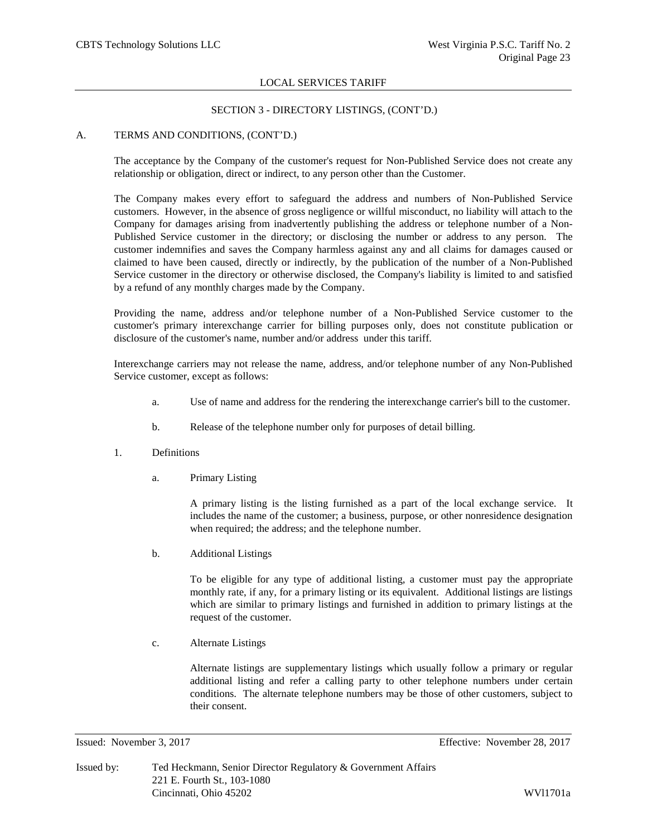## SECTION 3 - DIRECTORY LISTINGS, (CONT'D.)

## A. TERMS AND CONDITIONS, (CONT'D.)

The acceptance by the Company of the customer's request for Non-Published Service does not create any relationship or obligation, direct or indirect, to any person other than the Customer.

The Company makes every effort to safeguard the address and numbers of Non-Published Service customers. However, in the absence of gross negligence or willful misconduct, no liability will attach to the Company for damages arising from inadvertently publishing the address or telephone number of a Non-Published Service customer in the directory; or disclosing the number or address to any person. The customer indemnifies and saves the Company harmless against any and all claims for damages caused or claimed to have been caused, directly or indirectly, by the publication of the number of a Non-Published Service customer in the directory or otherwise disclosed, the Company's liability is limited to and satisfied by a refund of any monthly charges made by the Company.

Providing the name, address and/or telephone number of a Non-Published Service customer to the customer's primary interexchange carrier for billing purposes only, does not constitute publication or disclosure of the customer's name, number and/or address under this tariff.

Interexchange carriers may not release the name, address, and/or telephone number of any Non-Published Service customer, except as follows:

- a. Use of name and address for the rendering the interexchange carrier's bill to the customer.
- b. Release of the telephone number only for purposes of detail billing.
- 1. Definitions
	- a. Primary Listing

A primary listing is the listing furnished as a part of the local exchange service. It includes the name of the customer; a business, purpose, or other nonresidence designation when required; the address; and the telephone number.

b. Additional Listings

To be eligible for any type of additional listing, a customer must pay the appropriate monthly rate, if any, for a primary listing or its equivalent. Additional listings are listings which are similar to primary listings and furnished in addition to primary listings at the request of the customer.

c. Alternate Listings

Alternate listings are supplementary listings which usually follow a primary or regular additional listing and refer a calling party to other telephone numbers under certain conditions. The alternate telephone numbers may be those of other customers, subject to their consent.

Issued: November 3, 2017 Effective: November 28, 2017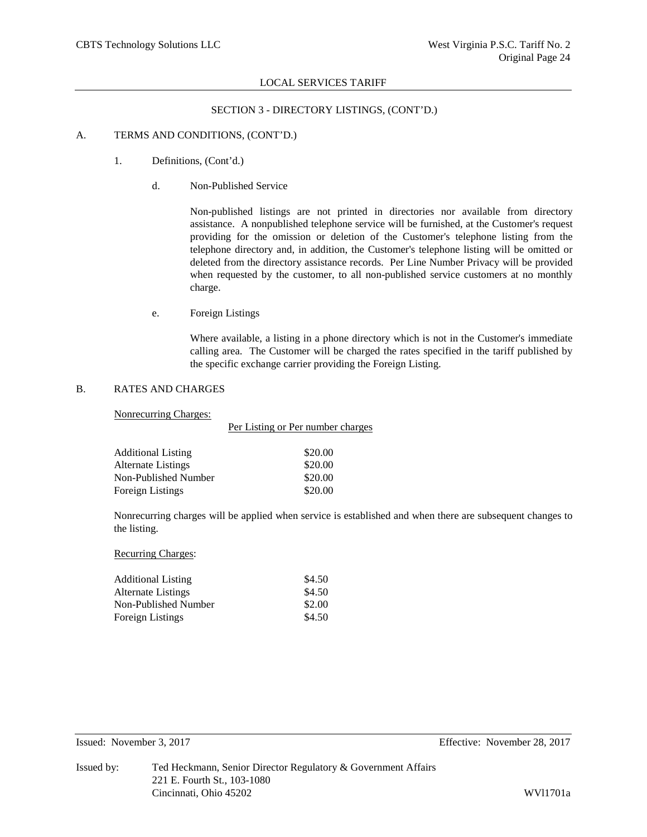## SECTION 3 - DIRECTORY LISTINGS, (CONT'D.)

## A. TERMS AND CONDITIONS, (CONT'D.)

- 1. Definitions, (Cont'd.)
	- d. Non-Published Service

Non-published listings are not printed in directories nor available from directory assistance. A nonpublished telephone service will be furnished, at the Customer's request providing for the omission or deletion of the Customer's telephone listing from the telephone directory and, in addition, the Customer's telephone listing will be omitted or deleted from the directory assistance records. Per Line Number Privacy will be provided when requested by the customer, to all non-published service customers at no monthly charge.

e. Foreign Listings

Where available, a listing in a phone directory which is not in the Customer's immediate calling area. The Customer will be charged the rates specified in the tariff published by the specific exchange carrier providing the Foreign Listing.

## B. RATES AND CHARGES

# Nonrecurring Charges:

|                           | Per Listing or Per number charges |  |  |
|---------------------------|-----------------------------------|--|--|
| <b>Additional Listing</b> | \$20.00                           |  |  |
| <b>Alternate Listings</b> | \$20.00                           |  |  |
| Non-Published Number      | \$20.00                           |  |  |
| Foreign Listings          | \$20.00                           |  |  |

Nonrecurring charges will be applied when service is established and when there are subsequent changes to the listing.

Recurring Charges:

| <b>Additional Listing</b> | \$4.50 |
|---------------------------|--------|
| Alternate Listings        | \$4.50 |
| Non-Published Number      | \$2.00 |
| Foreign Listings          | \$4.50 |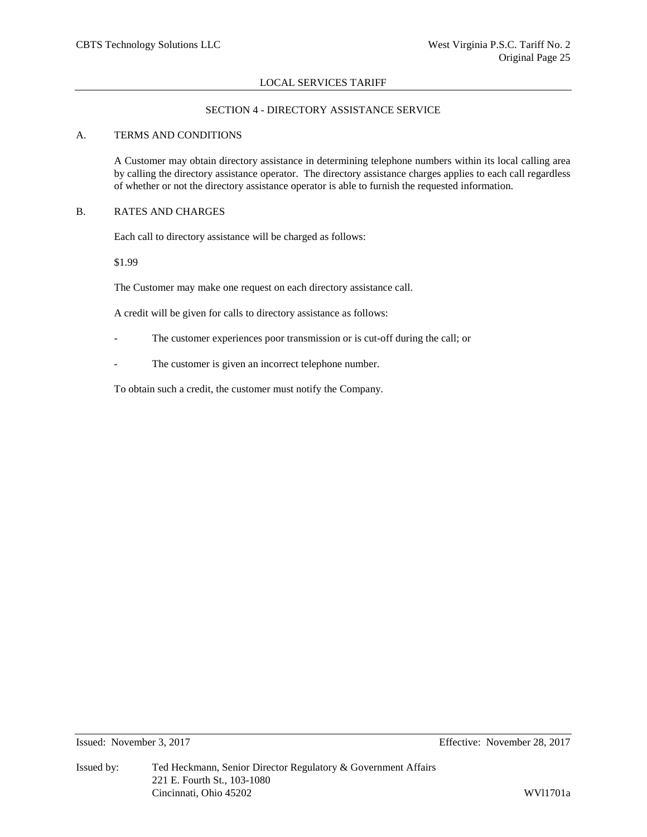# SECTION 4 - DIRECTORY ASSISTANCE SERVICE

## A. TERMS AND CONDITIONS

A Customer may obtain directory assistance in determining telephone numbers within its local calling area by calling the directory assistance operator. The directory assistance charges applies to each call regardless of whether or not the directory assistance operator is able to furnish the requested information.

## B. RATES AND CHARGES

Each call to directory assistance will be charged as follows:

\$1.99

The Customer may make one request on each directory assistance call.

A credit will be given for calls to directory assistance as follows:

- The customer experiences poor transmission or is cut-off during the call; or
- The customer is given an incorrect telephone number.

To obtain such a credit, the customer must notify the Company.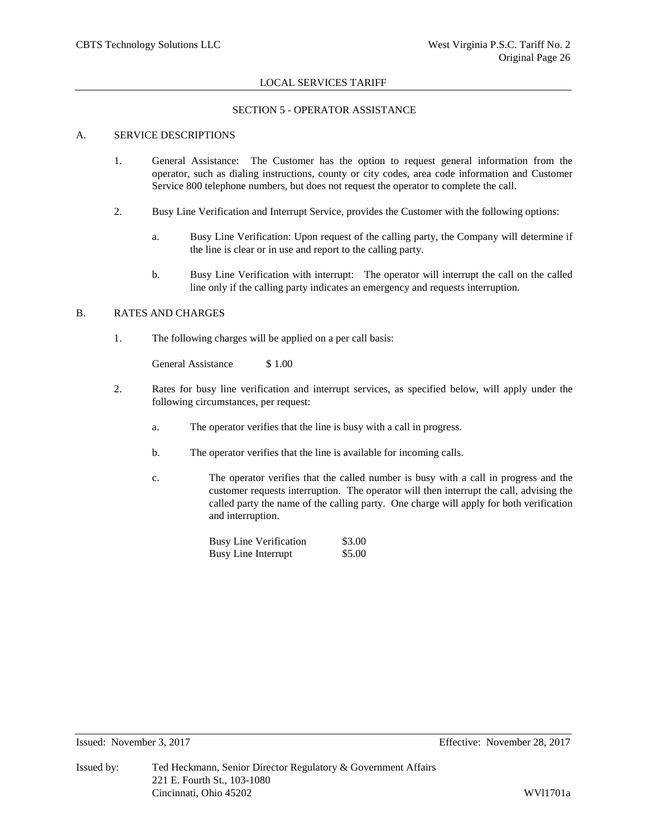## SECTION 5 - OPERATOR ASSISTANCE

## A. SERVICE DESCRIPTIONS

- 1. General Assistance: The Customer has the option to request general information from the operator, such as dialing instructions, county or city codes, area code information and Customer Service 800 telephone numbers, but does not request the operator to complete the call.
- 2. Busy Line Verification and Interrupt Service, provides the Customer with the following options:
	- a. Busy Line Verification: Upon request of the calling party, the Company will determine if the line is clear or in use and report to the calling party.
	- b. Busy Line Verification with interrupt: The operator will interrupt the call on the called line only if the calling party indicates an emergency and requests interruption.

## B. RATES AND CHARGES

1. The following charges will be applied on a per call basis:

General Assistance \$ 1.00

- 2. Rates for busy line verification and interrupt services, as specified below, will apply under the following circumstances, per request:
	- a. The operator verifies that the line is busy with a call in progress.
	- b. The operator verifies that the line is available for incoming calls.
	- c. The operator verifies that the called number is busy with a call in progress and the customer requests interruption. The operator will then interrupt the call, advising the called party the name of the calling party. One charge will apply for both verification and interruption.

| <b>Busy Line Verification</b> | \$3.00 |
|-------------------------------|--------|
| <b>Busy Line Interrupt</b>    | \$5.00 |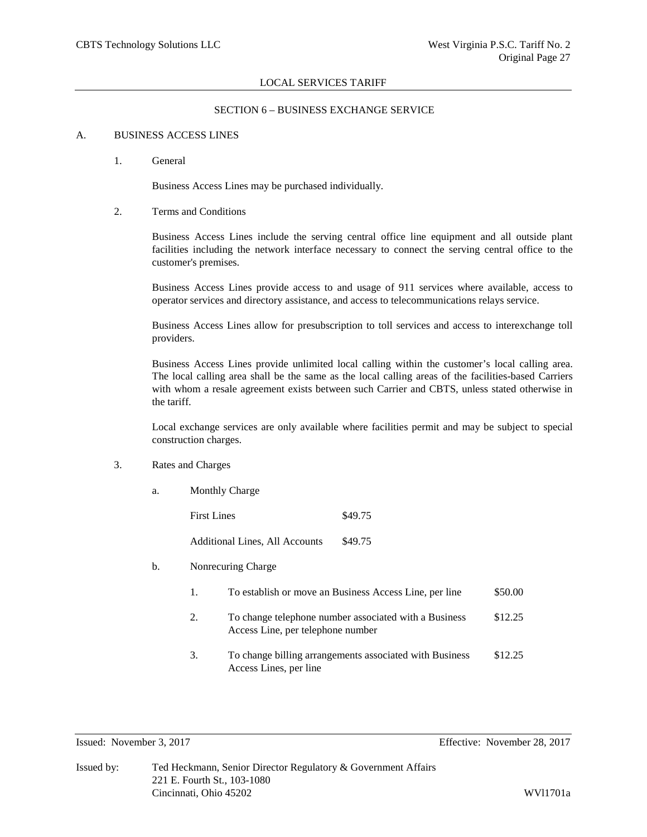## SECTION 6 – BUSINESS EXCHANGE SERVICE

#### A. BUSINESS ACCESS LINES

1. General

Business Access Lines may be purchased individually.

2. Terms and Conditions

Business Access Lines include the serving central office line equipment and all outside plant facilities including the network interface necessary to connect the serving central office to the customer's premises.

Business Access Lines provide access to and usage of 911 services where available, access to operator services and directory assistance, and access to telecommunications relays service.

Business Access Lines allow for presubscription to toll services and access to interexchange toll providers.

Business Access Lines provide unlimited local calling within the customer's local calling area. The local calling area shall be the same as the local calling areas of the facilities-based Carriers with whom a resale agreement exists between such Carrier and CBTS, unless stated otherwise in the tariff.

Local exchange services are only available where facilities permit and may be subject to special construction charges.

- 3. Rates and Charges
	- a. Monthly Charge

First Lines  $\$49.75$ Additional Lines, All Accounts \$49.75

- b. Nonrecuring Charge
	- 1. To establish or move an Business Access Line, per line \$50.00
	- 2. To change telephone number associated with a Business \$12.25 Access Line, per telephone number
	- 3. To change billing arrangements associated with Business \$12.25 Access Lines, per line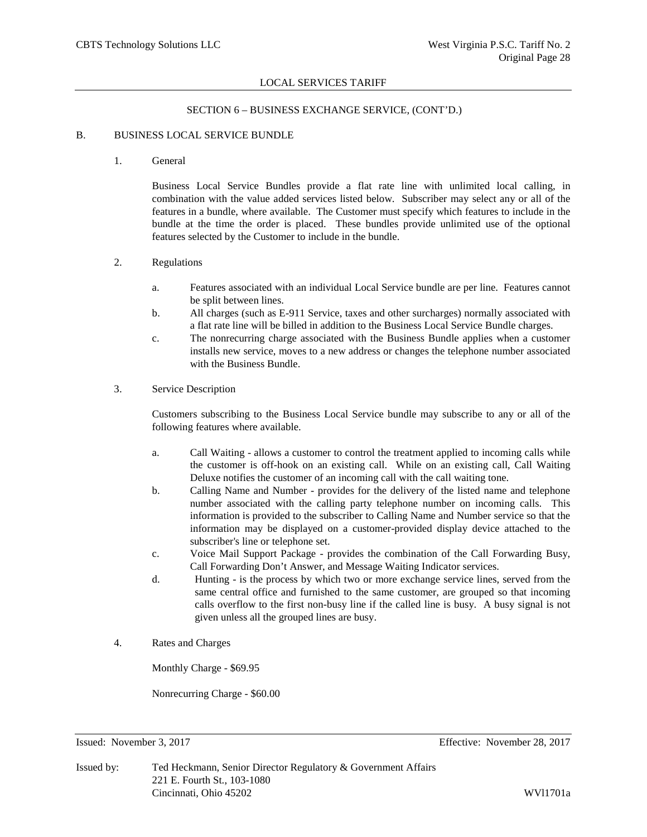## SECTION 6 – BUSINESS EXCHANGE SERVICE, (CONT'D.)

#### B. BUSINESS LOCAL SERVICE BUNDLE

1. General

Business Local Service Bundles provide a flat rate line with unlimited local calling, in combination with the value added services listed below. Subscriber may select any or all of the features in a bundle, where available. The Customer must specify which features to include in the bundle at the time the order is placed. These bundles provide unlimited use of the optional features selected by the Customer to include in the bundle.

# 2. Regulations

- a. Features associated with an individual Local Service bundle are per line. Features cannot be split between lines.
- b. All charges (such as E-911 Service, taxes and other surcharges) normally associated with a flat rate line will be billed in addition to the Business Local Service Bundle charges.
- c. The nonrecurring charge associated with the Business Bundle applies when a customer installs new service, moves to a new address or changes the telephone number associated with the Business Bundle.
- 3. Service Description

Customers subscribing to the Business Local Service bundle may subscribe to any or all of the following features where available.

- a. Call Waiting allows a customer to control the treatment applied to incoming calls while the customer is off-hook on an existing call. While on an existing call, Call Waiting Deluxe notifies the customer of an incoming call with the call waiting tone.
- b. Calling Name and Number provides for the delivery of the listed name and telephone number associated with the calling party telephone number on incoming calls. This information is provided to the subscriber to Calling Name and Number service so that the information may be displayed on a customer-provided display device attached to the subscriber's line or telephone set.
- c. Voice Mail Support Package provides the combination of the Call Forwarding Busy, Call Forwarding Don't Answer, and Message Waiting Indicator services.
- d. Hunting is the process by which two or more exchange service lines, served from the same central office and furnished to the same customer, are grouped so that incoming calls overflow to the first non-busy line if the called line is busy. A busy signal is not given unless all the grouped lines are busy.
- 4. Rates and Charges

Monthly Charge - \$69.95

Nonrecurring Charge - \$60.00

Issued: November 3, 2017 Effective: November 28, 2017

Issued by: Ted Heckmann, Senior Director Regulatory & Government Affairs 221 E. Fourth St., 103-1080 Cincinnati, Ohio 45202 WVl1701a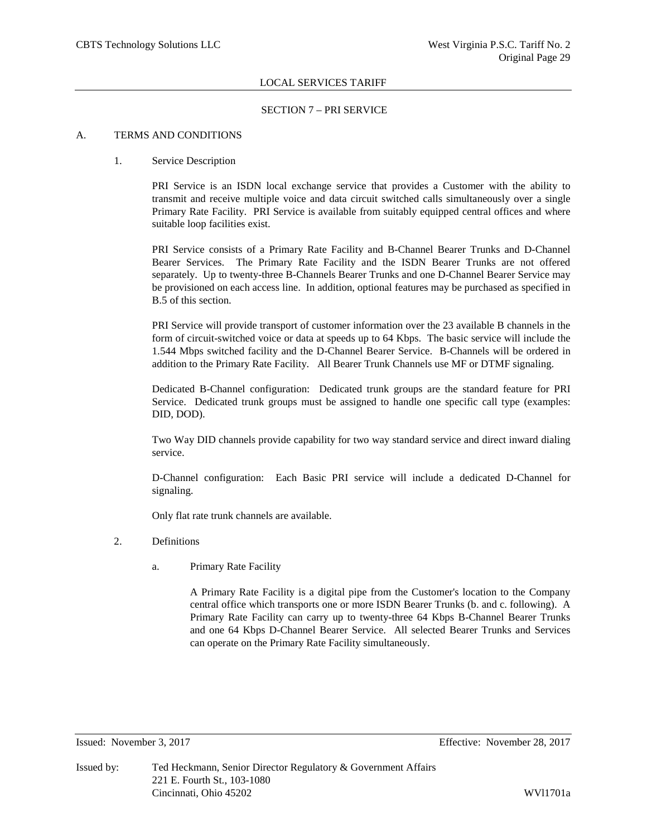## SECTION 7 – PRI SERVICE

## A. TERMS AND CONDITIONS

## 1. Service Description

PRI Service is an ISDN local exchange service that provides a Customer with the ability to transmit and receive multiple voice and data circuit switched calls simultaneously over a single Primary Rate Facility. PRI Service is available from suitably equipped central offices and where suitable loop facilities exist.

PRI Service consists of a Primary Rate Facility and B-Channel Bearer Trunks and D-Channel Bearer Services. The Primary Rate Facility and the ISDN Bearer Trunks are not offered separately. Up to twenty-three B-Channels Bearer Trunks and one D-Channel Bearer Service may be provisioned on each access line. In addition, optional features may be purchased as specified in B.5 of this section.

PRI Service will provide transport of customer information over the 23 available B channels in the form of circuit-switched voice or data at speeds up to 64 Kbps. The basic service will include the 1.544 Mbps switched facility and the D-Channel Bearer Service. B-Channels will be ordered in addition to the Primary Rate Facility. All Bearer Trunk Channels use MF or DTMF signaling.

Dedicated B-Channel configuration: Dedicated trunk groups are the standard feature for PRI Service. Dedicated trunk groups must be assigned to handle one specific call type (examples: DID, DOD).

Two Way DID channels provide capability for two way standard service and direct inward dialing service.

D-Channel configuration: Each Basic PRI service will include a dedicated D-Channel for signaling.

Only flat rate trunk channels are available.

- 2. Definitions
	- a. Primary Rate Facility

A Primary Rate Facility is a digital pipe from the Customer's location to the Company central office which transports one or more ISDN Bearer Trunks (b. and c. following). A Primary Rate Facility can carry up to twenty-three 64 Kbps B-Channel Bearer Trunks and one 64 Kbps D-Channel Bearer Service. All selected Bearer Trunks and Services can operate on the Primary Rate Facility simultaneously.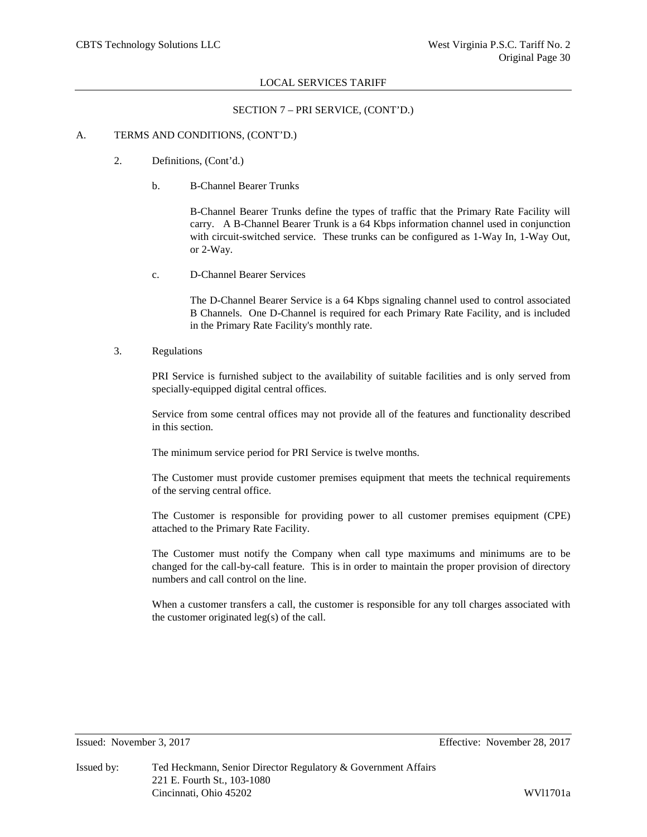## SECTION 7 – PRI SERVICE, (CONT'D.)

## A. TERMS AND CONDITIONS, (CONT'D.)

- 2. Definitions, (Cont'd.)
	- b. B-Channel Bearer Trunks

B-Channel Bearer Trunks define the types of traffic that the Primary Rate Facility will carry. A B-Channel Bearer Trunk is a 64 Kbps information channel used in conjunction with circuit-switched service. These trunks can be configured as 1-Way In, 1-Way Out, or 2-Way.

c. D-Channel Bearer Services

The D-Channel Bearer Service is a 64 Kbps signaling channel used to control associated B Channels. One D-Channel is required for each Primary Rate Facility, and is included in the Primary Rate Facility's monthly rate.

3. Regulations

PRI Service is furnished subject to the availability of suitable facilities and is only served from specially-equipped digital central offices.

Service from some central offices may not provide all of the features and functionality described in this section.

The minimum service period for PRI Service is twelve months.

The Customer must provide customer premises equipment that meets the technical requirements of the serving central office.

The Customer is responsible for providing power to all customer premises equipment (CPE) attached to the Primary Rate Facility.

The Customer must notify the Company when call type maximums and minimums are to be changed for the call-by-call feature. This is in order to maintain the proper provision of directory numbers and call control on the line.

When a customer transfers a call, the customer is responsible for any toll charges associated with the customer originated leg(s) of the call.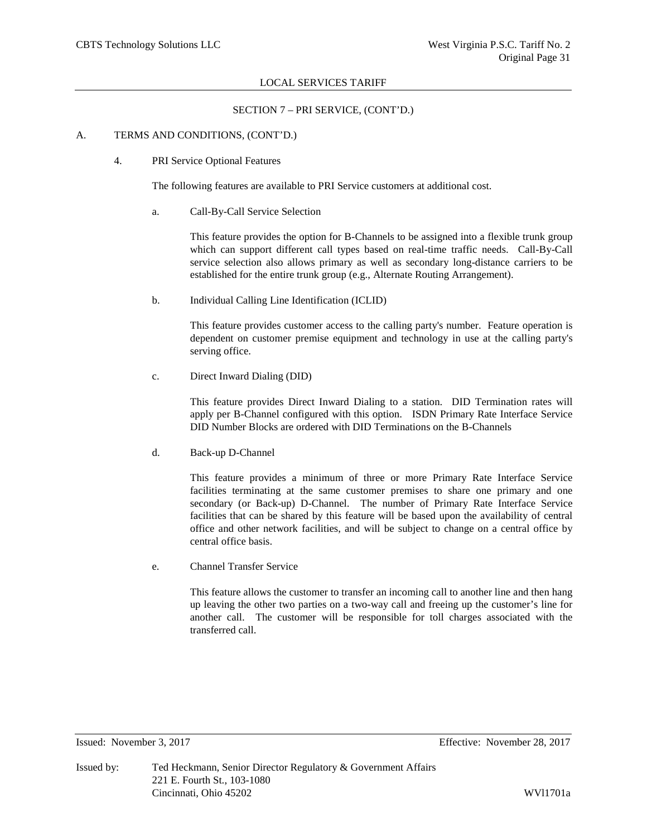## SECTION 7 – PRI SERVICE, (CONT'D.)

## A. TERMS AND CONDITIONS, (CONT'D.)

4. PRI Service Optional Features

The following features are available to PRI Service customers at additional cost.

a. Call-By-Call Service Selection

This feature provides the option for B-Channels to be assigned into a flexible trunk group which can support different call types based on real-time traffic needs. Call-By-Call service selection also allows primary as well as secondary long-distance carriers to be established for the entire trunk group (e.g., Alternate Routing Arrangement).

b. Individual Calling Line Identification (ICLID)

This feature provides customer access to the calling party's number. Feature operation is dependent on customer premise equipment and technology in use at the calling party's serving office.

c. Direct Inward Dialing (DID)

This feature provides Direct Inward Dialing to a station. DID Termination rates will apply per B-Channel configured with this option. ISDN Primary Rate Interface Service DID Number Blocks are ordered with DID Terminations on the B-Channels

d. Back-up D-Channel

This feature provides a minimum of three or more Primary Rate Interface Service facilities terminating at the same customer premises to share one primary and one secondary (or Back-up) D-Channel. The number of Primary Rate Interface Service facilities that can be shared by this feature will be based upon the availability of central office and other network facilities, and will be subject to change on a central office by central office basis.

e. Channel Transfer Service

This feature allows the customer to transfer an incoming call to another line and then hang up leaving the other two parties on a two-way call and freeing up the customer's line for another call. The customer will be responsible for toll charges associated with the transferred call.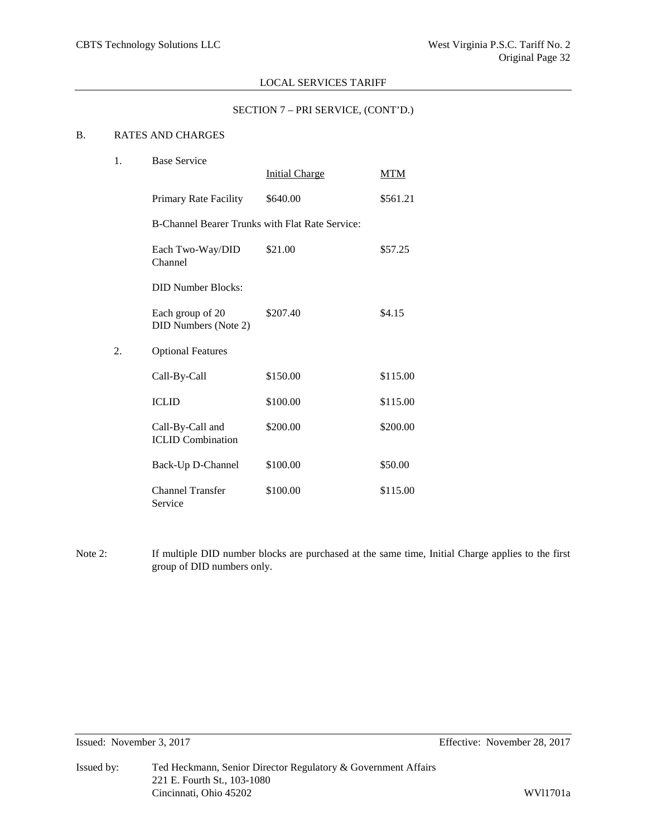## SECTION 7 – PRI SERVICE, (CONT'D.)

# B. RATES AND CHARGES

| 1. | <b>Base Service</b>                                    |                       |          |  |  |  |  |
|----|--------------------------------------------------------|-----------------------|----------|--|--|--|--|
|    |                                                        | <b>Initial Charge</b> | MTM      |  |  |  |  |
|    | Primary Rate Facility                                  | \$640.00              | \$561.21 |  |  |  |  |
|    | <b>B-Channel Bearer Trunks with Flat Rate Service:</b> |                       |          |  |  |  |  |
|    | Each Two-Way/DID<br>Channel                            | \$21.00               | \$57.25  |  |  |  |  |
|    | <b>DID Number Blocks:</b>                              |                       |          |  |  |  |  |
|    | Each group of 20<br>DID Numbers (Note 2)               | \$207.40              | \$4.15   |  |  |  |  |
| 2. | <b>Optional Features</b>                               |                       |          |  |  |  |  |
|    | Call-By-Call                                           | \$150.00              | \$115.00 |  |  |  |  |
|    | <b>ICLID</b>                                           | \$100.00              | \$115.00 |  |  |  |  |
|    | Call-By-Call and<br><b>ICLID Combination</b>           | \$200.00              | \$200.00 |  |  |  |  |
|    | Back-Up D-Channel                                      | \$100.00              | \$50.00  |  |  |  |  |
|    | <b>Channel Transfer</b><br>Service                     | \$100.00              | \$115.00 |  |  |  |  |

Note 2: If multiple DID number blocks are purchased at the same time, Initial Charge applies to the first group of DID numbers only.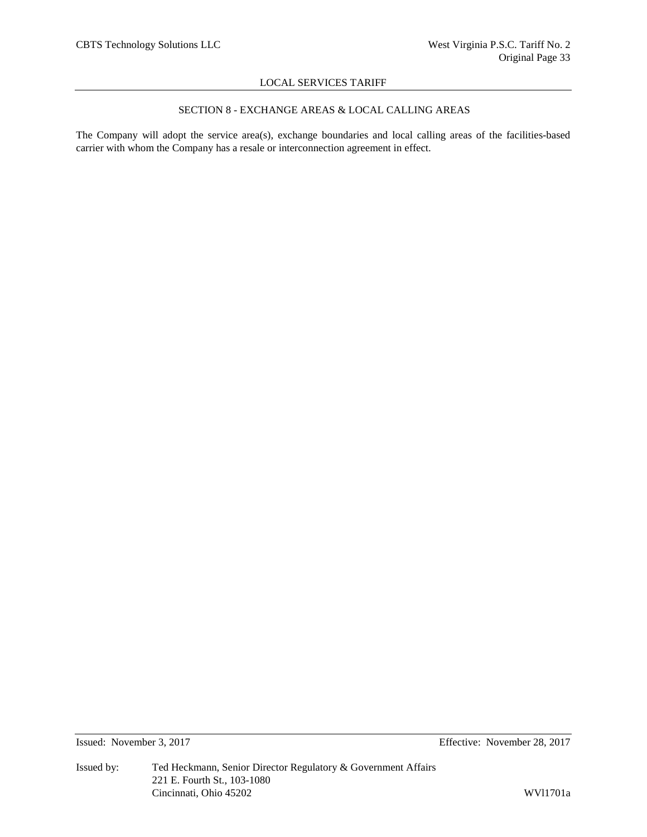# SECTION 8 - EXCHANGE AREAS & LOCAL CALLING AREAS

The Company will adopt the service area(s), exchange boundaries and local calling areas of the facilities-based carrier with whom the Company has a resale or interconnection agreement in effect.